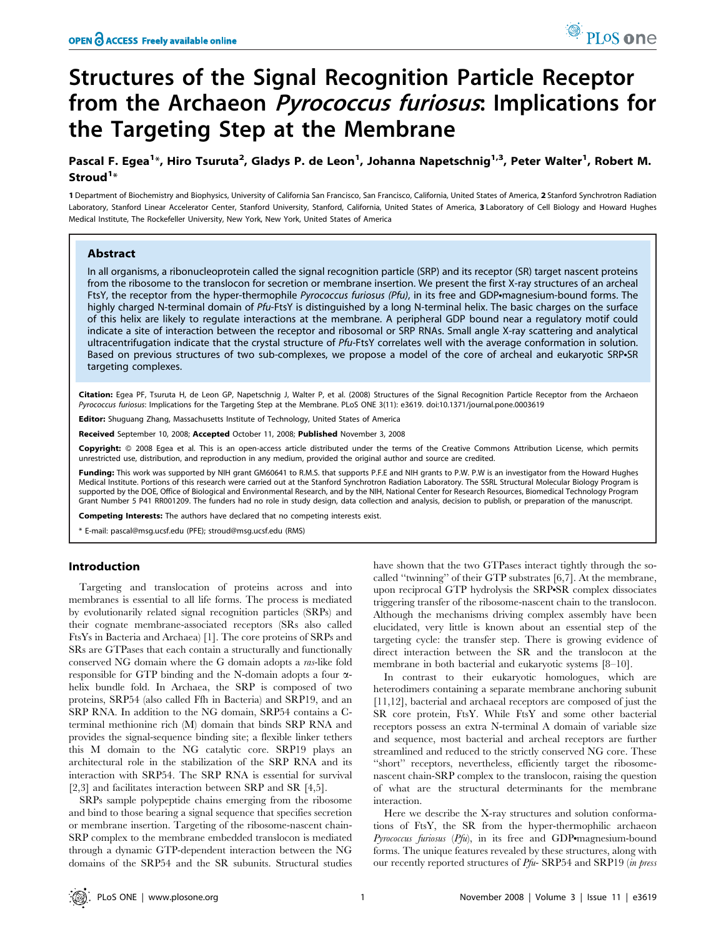# Structures of the Signal Recognition Particle Receptor from the Archaeon *Pyrococcus furiosus*: Implications for the Targeting Step at the Membrane

## Pascal F. Egea<sup>1</sup>\*, Hiro Tsuruta<sup>2</sup>, Gladys P. de Leon<sup>1</sup>, Johanna Napetschnig<sup>1,3</sup>, Peter Walter<sup>1</sup>, Robert M. Stroud<sup>1</sup>\*

1 Department of Biochemistry and Biophysics, University of California San Francisco, San Francisco, California, United States of America, 2 Stanford Synchrotron Radiation Laboratory, Stanford Linear Accelerator Center, Stanford University, Stanford, California, United States of America, 3 Laboratory of Cell Biology and Howard Hughes Medical Institute, The Rockefeller University, New York, New York, United States of America

#### Abstract

In all organisms, a ribonucleoprotein called the signal recognition particle (SRP) and its receptor (SR) target nascent proteins from the ribosome to the translocon for secretion or membrane insertion. We present the first X-ray structures of an archeal FtsY, the receptor from the hyper-thermophile Pyrococcus furiosus (Pfu), in its free and GDP•magnesium-bound forms. The highly charged N-terminal domain of Pfu-FtsY is distinguished by a long N-terminal helix. The basic charges on the surface of this helix are likely to regulate interactions at the membrane. A peripheral GDP bound near a regulatory motif could indicate a site of interaction between the receptor and ribosomal or SRP RNAs. Small angle X-ray scattering and analytical ultracentrifugation indicate that the crystal structure of Pfu-FtsY correlates well with the average conformation in solution. Based on previous structures of two sub-complexes, we propose a model of the core of archeal and eukaryotic SRP.SR targeting complexes.

Citation: Egea PF, Tsuruta H, de Leon GP, Napetschnig J, Walter P, et al. (2008) Structures of the Signal Recognition Particle Receptor from the Archaeon Pyrococcus furiosus: Implications for the Targeting Step at the Membrane. PLoS ONE 3(11): e3619. doi:10.1371/journal.pone.0003619

**Editor:** Shuguang Zhang, Massachusetts Institute of Technology, United States of America

Received September 10, 2008; Accepted October 11, 2008; Published November 3, 2008

Copyright: @ 2008 Egea et al. This is an open-access article distributed under the terms of the Creative Commons Attribution License, which permits unrestricted use, distribution, and reproduction in any medium, provided the original author and source are credited.

Funding: This work was supported by NIH grant GM60641 to R.M.S. that supports P.F.E and NIH grants to P.W. P.W is an investigator from the Howard Hughes Medical Institute. Portions of this research were carried out at the Stanford Synchrotron Radiation Laboratory. The SSRL Structural Molecular Biology Program is supported by the DOE, Office of Biological and Environmental Research, and by the NIH, National Center for Research Resources, Biomedical Technology Program Grant Number 5 P41 RR001209. The funders had no role in study design, data collection and analysis, decision to publish, or preparation of the manuscript.

Competing Interests: The authors have declared that no competing interests exist.

\* E-mail: pascal@msg.ucsf.edu (PFE); stroud@msg.ucsf.edu (RMS)

#### Introduction

Targeting and translocation of proteins across and into membranes is essential to all life forms. The process is mediated by evolutionarily related signal recognition particles (SRPs) and their cognate membrane-associated receptors (SRs also called FtsYs in Bacteria and Archaea) [1]. The core proteins of SRPs and SRs are GTPases that each contain a structurally and functionally conserved NG domain where the G domain adopts a ras-like fold responsible for GTP binding and the N-domain adopts a four  $\alpha$ helix bundle fold. In Archaea, the SRP is composed of two proteins, SRP54 (also called Ffh in Bacteria) and SRP19, and an SRP RNA. In addition to the NG domain, SRP54 contains a Cterminal methionine rich (M) domain that binds SRP RNA and provides the signal-sequence binding site; a flexible linker tethers this M domain to the NG catalytic core. SRP19 plays an architectural role in the stabilization of the SRP RNA and its interaction with SRP54. The SRP RNA is essential for survival [2,3] and facilitates interaction between SRP and SR [4,5].

SRPs sample polypeptide chains emerging from the ribosome and bind to those bearing a signal sequence that specifies secretion or membrane insertion. Targeting of the ribosome-nascent chain-SRP complex to the membrane embedded translocon is mediated through a dynamic GTP-dependent interaction between the NG domains of the SRP54 and the SR subunits. Structural studies have shown that the two GTPases interact tightly through the socalled ''twinning'' of their GTP substrates [6,7]. At the membrane, upon reciprocal GTP hydrolysis the SRP-SR complex dissociates triggering transfer of the ribosome-nascent chain to the translocon. Although the mechanisms driving complex assembly have been elucidated, very little is known about an essential step of the targeting cycle: the transfer step. There is growing evidence of direct interaction between the SR and the translocon at the membrane in both bacterial and eukaryotic systems [8–10].

In contrast to their eukaryotic homologues, which are heterodimers containing a separate membrane anchoring subunit [11,12], bacterial and archaeal receptors are composed of just the SR core protein, FtsY. While FtsY and some other bacterial receptors possess an extra N-terminal A domain of variable size and sequence, most bacterial and archeal receptors are further streamlined and reduced to the strictly conserved NG core. These "short" receptors, nevertheless, efficiently target the ribosomenascent chain-SRP complex to the translocon, raising the question of what are the structural determinants for the membrane interaction.

Here we describe the X-ray structures and solution conformations of FtsY, the SR from the hyper-thermophilic archaeon  $Pyrococcus$  furiosus  $(Pfu)$ , in its free and GDP•magnesium-bound forms. The unique features revealed by these structures, along with our recently reported structures of Pfu- SRP54 and SRP19 (in press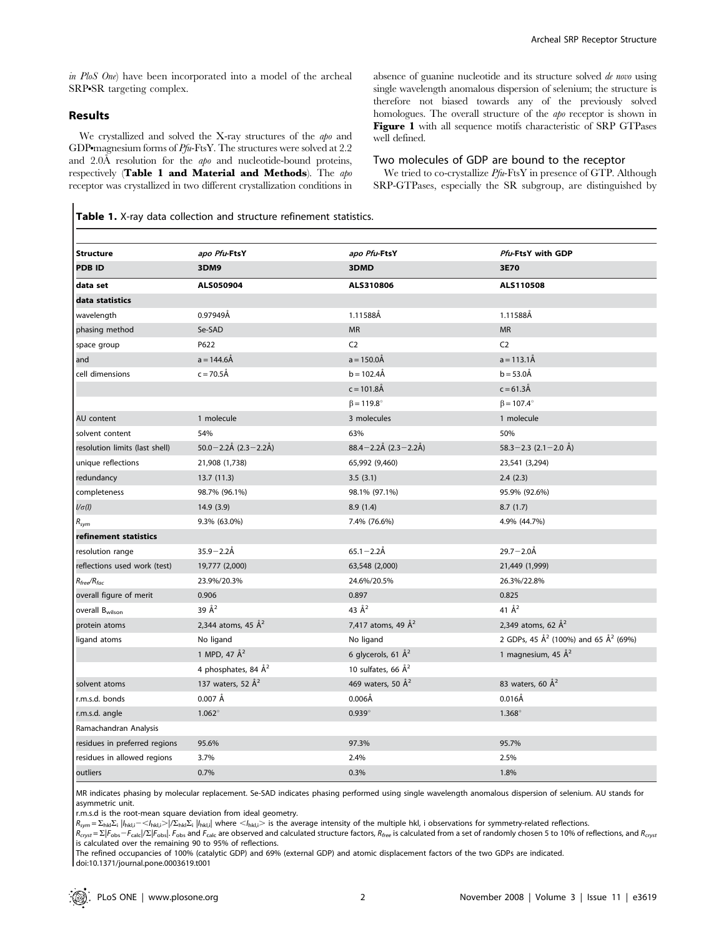in PloS One) have been incorporated into a model of the archeal SRP.SR targeting complex.

### Results

We crystallized and solved the X-ray structures of the apo and GDP magnesium forms of Pfu-FtsY. The structures were solved at 2.2 and 2.0Å resolution for the *apo* and nucleotide-bound proteins, respectively (Table 1 and Material and Methods). The apo receptor was crystallized in two different crystallization conditions in absence of guanine nucleotide and its structure solved de novo using single wavelength anomalous dispersion of selenium; the structure is therefore not biased towards any of the previously solved homologues. The overall structure of the apo receptor is shown in Figure 1 with all sequence motifs characteristic of SRP GTPases well defined.

#### Two molecules of GDP are bound to the receptor

We tried to co-crystallize  $Pfu$ -FtsY in presence of GTP. Although SRP-GTPases, especially the SR subgroup, are distinguished by

Table 1. X-ray data collection and structure refinement statistics.

| <b>Structure</b>                 | apo Pfu-FtsY                  | apo Pfu-FtsY                  | Pfu-FtsY with GDP                                            |
|----------------------------------|-------------------------------|-------------------------------|--------------------------------------------------------------|
| <b>PDB ID</b>                    | 3DM9                          | 3DMD                          | 3E70                                                         |
| data set                         | ALS050904                     | ALS310806                     | ALS110508                                                    |
| data statistics                  |                               |                               |                                                              |
| wavelength                       | 0.97949Å                      | 1.11588Å                      | 1.11588Å                                                     |
| phasing method                   | Se-SAD                        | <b>MR</b>                     | <b>MR</b>                                                    |
| space group                      | P622                          | C <sub>2</sub>                | C <sub>2</sub>                                               |
| and                              | $a = 144.6 \AA$               | $a = 150.0$ Å                 | $a = 113.1\text{\AA}$                                        |
| cell dimensions                  | $c = 70.5 \text{\AA}$         | $b = 102.4A$                  | $b = 53.0 \AA$                                               |
|                                  |                               | $c = 101.8$ Å                 | $c = 61.3 \text{\AA}$                                        |
|                                  |                               | $\beta$ = 119.8°              | $\beta$ = 107.4°                                             |
| AU content                       | 1 molecule                    | 3 molecules                   | 1 molecule                                                   |
| solvent content                  | 54%                           | 63%                           | 50%                                                          |
| resolution limits (last shell)   | $50.0 - 2.2$ Å (2.3 - 2.2Å)   | $88.4 - 2.2$ Å (2.3 - 2.2Å)   | $58.3 - 2.3$ (2.1 - 2.0 Å)                                   |
| unique reflections               | 21,908 (1,738)                | 65,992 (9,460)                | 23,541 (3,294)                                               |
| redundancy                       | 13.7(11.3)                    | 3.5(3.1)                      | 2.4(2.3)                                                     |
| completeness                     | 98.7% (96.1%)                 | 98.1% (97.1%)                 | 95.9% (92.6%)                                                |
| $1/\sigma(l)$                    | 14.9(3.9)                     | 8.9(1.4)                      | 8.7(1.7)                                                     |
| $R_{sym}$                        | 9.3% (63.0%)                  | 7.4% (76.6%)                  | 4.9% (44.7%)                                                 |
| refinement statistics            |                               |                               |                                                              |
| resolution range                 | $35.9 - 2.2$ Å                | $65.1 - 2.2$ Å                | $29.7 - 2.0$ Å                                               |
| reflections used work (test)     | 19,777 (2,000)                | 63,548 (2,000)                | 21,449 (1,999)                                               |
| $R_{\text{free}}/R_{\text{fac}}$ | 23.9%/20.3%                   | 24.6%/20.5%                   | 26.3%/22.8%                                                  |
| overall figure of merit          | 0.906                         | 0.897                         | 0.825                                                        |
| overall B <sub>wilson</sub>      | 39 Å <sup>2</sup>             | 43 $\AA^2$                    | 41 $\AA^2$                                                   |
| protein atoms                    | 2,344 atoms, 45 $\AA^2$       | 7,417 atoms, 49 $\AA^2$       | 2,349 atoms, 62 Å <sup>2</sup>                               |
| ligand atoms                     | No ligand                     | No ligand                     | 2 GDPs, 45 Å <sup>2</sup> (100%) and 65 Å <sup>2</sup> (69%) |
|                                  | 1 MPD, 47 Å <sup>2</sup>      | 6 glycerols, 61 $\AA^2$       | 1 magnesium, 45 $\AA^2$                                      |
|                                  | 4 phosphates, 84 $\AA^2$      | 10 sulfates, 66 $\AA^2$       |                                                              |
| solvent atoms                    | 137 waters, 52 Å <sup>2</sup> | 469 waters, 50 Å <sup>2</sup> | 83 waters, 60 Å <sup>2</sup>                                 |
| r.m.s.d. bonds                   | $0.007$ Å                     | $0.006\text{\AA}$             | $0.016$ Å                                                    |
| r.m.s.d. angle                   | $1.062^\circ$                 | $0.939^\circ$                 | $1.368^\circ$                                                |
| Ramachandran Analysis            |                               |                               |                                                              |
| residues in preferred regions    | 95.6%                         | 97.3%                         | 95.7%                                                        |
| residues in allowed regions      | 3.7%                          | 2.4%                          | 2.5%                                                         |
| outliers                         | 0.7%                          | 0.3%                          | 1.8%                                                         |

MR indicates phasing by molecular replacement. Se-SAD indicates phasing performed using single wavelength anomalous dispersion of selenium. AU stands for asymmetric unit.

r.m.s.d is the root-mean square deviation from ideal geometry.

 $R_{sym} = \sum_{hkl}\sum_{i} |I_{hkl,i}-\langle I_{hkl,i}\rangle$   $|/ \Sigma_{hkl}\Sigma_{i} |I_{hkl,i}|$  where  $<$   $I_{hkl,i}>$  is the average intensity of the multiple hkl, i observations for symmetry-related reflections.

 $R_{cryst} = \Sigma |F_{\text{obs}} - F_{\text{calc}}|/\Sigma |F_{\text{obs}}|$ . F<sub>obs</sub> and  $F_{\text{calc}}$  are observed and calculated structure factors,  $R_{free}$  is calculated from a set of randomly chosen 5 to 10% of reflections, and  $R_{cryst}$ is calculated over the remaining 90 to 95% of reflections.

The refined occupancies of 100% (catalytic GDP) and 69% (external GDP) and atomic displacement factors of the two GDPs are indicated. doi:10.1371/journal.pone.0003619.t001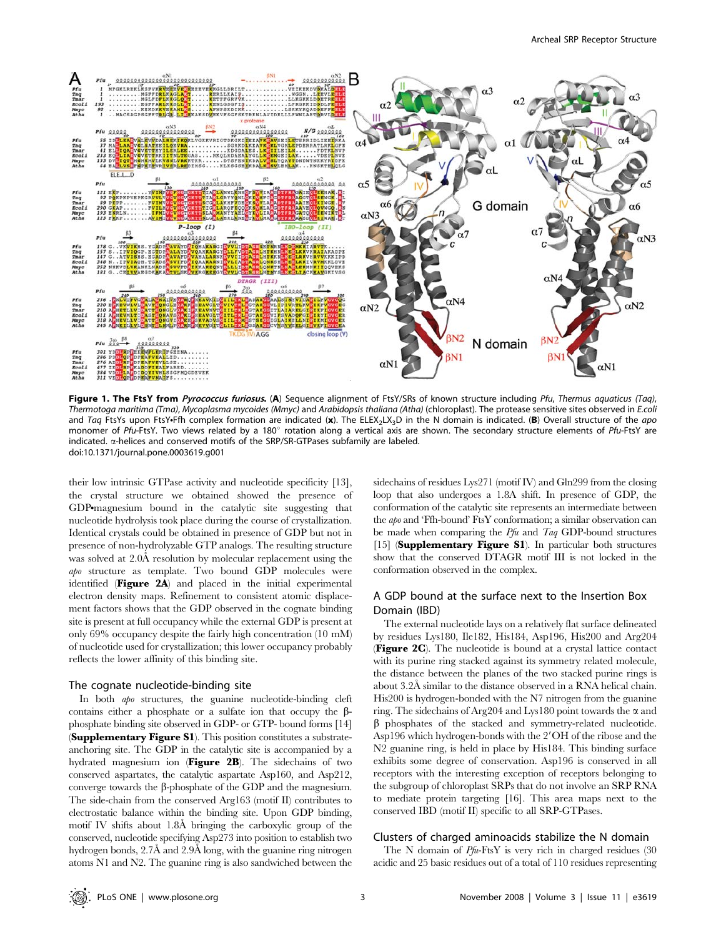

Figure 1. The FtsY from Pyrococcus furiosus. (A) Sequence alignment of FtsY/SRs of known structure including Pfu, Thermus aquaticus (Taq), Thermotoga maritima (Tma), Mycoplasma mycoides (Mmyc) and Arabidopsis thaliana (Atha) (chloroplast). The protease sensitive sites observed in E.coli and Taq FtsYs upon FtsY.Ffh complex formation are indicated (x). The ELEX<sub>2</sub>LX<sub>3</sub>D in the N domain is indicated. (B) Overall structure of the apo monomer of Pfu-FtsY. Two views related by a 180° rotation along a vertical axis are shown. The secondary structure elements of Pfu-FtsY are indicated. a-helices and conserved motifs of the SRP/SR-GTPases subfamily are labeled. doi:10.1371/journal.pone.0003619.g001

their low intrinsic GTPase activity and nucleotide specificity [13], the crystal structure we obtained showed the presence of GDP<sup>o</sup>magnesium bound in the catalytic site suggesting that nucleotide hydrolysis took place during the course of crystallization. Identical crystals could be obtained in presence of GDP but not in presence of non-hydrolyzable GTP analogs. The resulting structure was solved at 2.0Å resolution by molecular replacement using the apo structure as template. Two bound GDP molecules were identified (Figure 2A) and placed in the initial experimental electron density maps. Refinement to consistent atomic displacement factors shows that the GDP observed in the cognate binding site is present at full occupancy while the external GDP is present at only 69% occupancy despite the fairly high concentration (10 mM) of nucleotide used for crystallization; this lower occupancy probably reflects the lower affinity of this binding site.

#### The cognate nucleotide-binding site

In both apo structures, the guanine nucleotide-binding cleft contains either a phosphate or a sulfate ion that occupy the  $\beta$ phosphate binding site observed in GDP- or GTP- bound forms [14] (Supplementary Figure S1). This position constitutes a substrateanchoring site. The GDP in the catalytic site is accompanied by a hydrated magnesium ion (Figure 2B). The sidechains of two conserved aspartates, the catalytic aspartate Asp160, and Asp212, converge towards the  $\beta$ -phosphate of the GDP and the magnesium. The side-chain from the conserved Arg163 (motif II) contributes to electrostatic balance within the binding site. Upon GDP binding, motif IV shifts about 1.8A˚ bringing the carboxylic group of the conserved, nucleotide specifying Asp273 into position to establish two hydrogen bonds, 2.7Å and 2.9Å long, with the guanine ring nitrogen atoms N1 and N2. The guanine ring is also sandwiched between the

sidechains of residues Lys271 (motif IV) and Gln299 from the closing loop that also undergoes a 1.8A shift. In presence of GDP, the conformation of the catalytic site represents an intermediate between the apo and 'Ffh-bound' FtsY conformation; a similar observation can be made when comparing the  $Pfu$  and  $Taq$  GDP-bound structures [15] (Supplementary Figure S1). In particular both structures show that the conserved DTAGR motif III is not locked in the conformation observed in the complex.

## A GDP bound at the surface next to the Insertion Box Domain (IBD)

The external nucleotide lays on a relatively flat surface delineated by residues Lys180, Ile182, His184, Asp196, His200 and Arg204 (Figure 2C). The nucleotide is bound at a crystal lattice contact with its purine ring stacked against its symmetry related molecule, the distance between the planes of the two stacked purine rings is about 3.2Å similar to the distance observed in a RNA helical chain. His200 is hydrogen-bonded with the N7 nitrogen from the guanine ring. The sidechains of Arg204 and Lys180 point towards the  $\alpha$  and  $\beta$  phosphates of the stacked and symmetry-related nucleotide. Asp196 which hydrogen-bonds with the 2'OH of the ribose and the N2 guanine ring, is held in place by His184. This binding surface exhibits some degree of conservation. Asp196 is conserved in all receptors with the interesting exception of receptors belonging to the subgroup of chloroplast SRPs that do not involve an SRP RNA to mediate protein targeting [16]. This area maps next to the conserved IBD (motif II) specific to all SRP-GTPases.

#### Clusters of charged aminoacids stabilize the N domain

The N domain of Pfu-FtsY is very rich in charged residues (30 acidic and 25 basic residues out of a total of 110 residues representing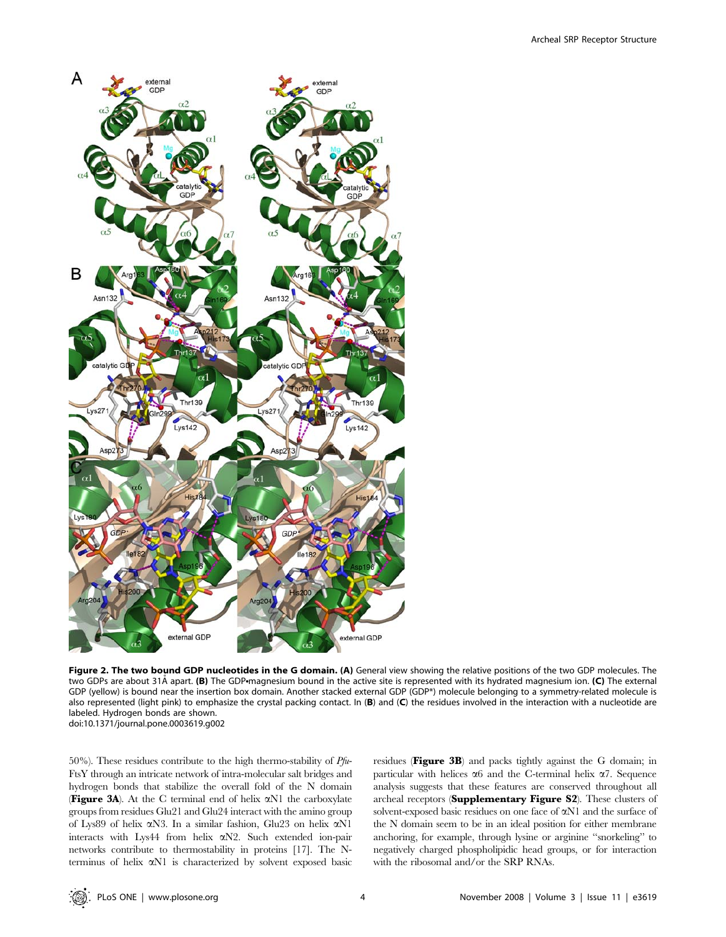

Figure 2. The two bound GDP nucleotides in the G domain. (A) General view showing the relative positions of the two GDP molecules. The two GDPs are about 31Å apart. (B) The GDP magnesium bound in the active site is represented with its hydrated magnesium ion. (C) The external GDP (yellow) is bound near the insertion box domain. Another stacked external GDP (GDP\*) molecule belonging to a symmetry-related molecule is also represented (light pink) to emphasize the crystal packing contact. In (B) and (C) the residues involved in the interaction with a nucleotide are labeled. Hydrogen bonds are shown. doi:10.1371/journal.pone.0003619.g002

50%). These residues contribute to the high thermo-stability of  $Pf\mu$ -FtsY through an intricate network of intra-molecular salt bridges and hydrogen bonds that stabilize the overall fold of the N domain (Figure 3A). At the C terminal end of helix aN1 the carboxylate groups from residues Glu21 and Glu24 interact with the amino group of Lys89 of helix aN3. In a similar fashion, Glu23 on helix aN1 interacts with Lys44 from helix aN2. Such extended ion-pair networks contribute to thermostability in proteins [17]. The Nterminus of helix aN1 is characterized by solvent exposed basic residues (Figure 3B) and packs tightly against the G domain; in particular with helices  $\alpha$ 6 and the C-terminal helix  $\alpha$ 7. Sequence analysis suggests that these features are conserved throughout all archeal receptors (Supplementary Figure S2). These clusters of solvent-exposed basic residues on one face of  $\alpha$ N1 and the surface of the N domain seem to be in an ideal position for either membrane anchoring, for example, through lysine or arginine ''snorkeling'' to negatively charged phospholipidic head groups, or for interaction with the ribosomal and/or the SRP RNAs.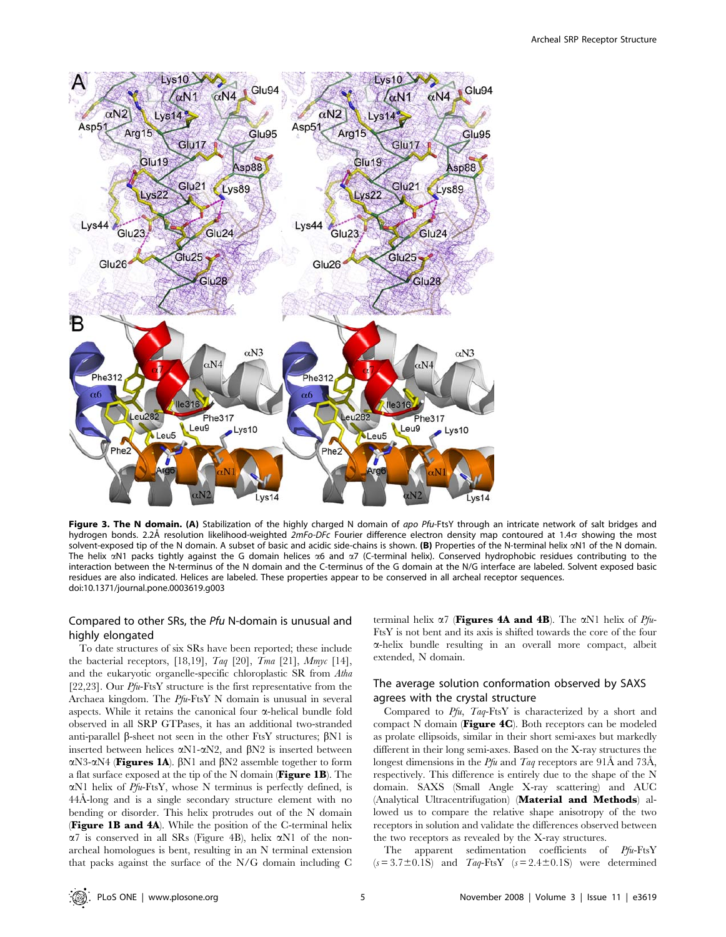

Figure 3. The N domain. (A) Stabilization of the highly charged N domain of apo Pfu-FtsY through an intricate network of salt bridges and hydrogen bonds. 2.2Å resolution likelihood-weighted  $2mFo-DFc$  Fourier difference electron density map contoured at 1.4 $\sigma$  showing the most solvent-exposed tip of the N domain. A subset of basic and acidic side-chains is shown. (B) Properties of the N-terminal helix  $\alpha$ N1 of the N domain. The helix  $\alpha$ N1 packs tightly against the G domain helices  $\alpha$ 6 and  $\alpha$ 7 (C-terminal helix). Conserved hydrophobic residues contributing to the interaction between the N-terminus of the N domain and the C-terminus of the G domain at the N/G interface are labeled. Solvent exposed basic residues are also indicated. Helices are labeled. These properties appear to be conserved in all archeal receptor sequences. doi:10.1371/journal.pone.0003619.g003

## Compared to other SRs, the Pfu N-domain is unusual and highly elongated

To date structures of six SRs have been reported; these include the bacterial receptors, [18,19],  $Taq$  [20],  $Tma$  [21],  $Mmpc$  [14], and the eukaryotic organelle-specific chloroplastic SR from Atha [22,23]. Our  $Pf\mu$ -FtsY structure is the first representative from the Archaea kingdom. The Pfu-FtsY N domain is unusual in several aspects. While it retains the canonical four  $\alpha$ -helical bundle fold observed in all SRP GTPases, it has an additional two-stranded anti-parallel  $\beta$ -sheet not seen in the other FtsY structures;  $\beta$ N1 is inserted between helices  $\alpha$ N1- $\alpha$ N2, and  $\beta$ N2 is inserted between αN3-αN4 (Figures 1A).  $\beta$ N1 and  $\beta$ N2 assemble together to form a flat surface exposed at the tip of the N domain (Figure 1B). The  $\alpha$ N1 helix of *Pfu*-FtsY, whose N terminus is perfectly defined, is 44Å-long and is a single secondary structure element with no bending or disorder. This helix protrudes out of the N domain (Figure 1B and 4A). While the position of the C-terminal helix  $\alpha$ 7 is conserved in all SRs (Figure 4B), helix  $\alpha$ N1 of the nonarcheal homologues is bent, resulting in an N terminal extension that packs against the surface of the N/G domain including C terminal helix  $\alpha$ 7 (Figures 4A and 4B). The  $\alpha$ N1 helix of  $Pf(x)$ -FtsY is not bent and its axis is shifted towards the core of the four a-helix bundle resulting in an overall more compact, albeit extended, N domain.

## The average solution conformation observed by SAXS agrees with the crystal structure

Compared to Pfu, Taq-FtsY is characterized by a short and compact N domain (Figure 4C). Both receptors can be modeled as prolate ellipsoids, similar in their short semi-axes but markedly different in their long semi-axes. Based on the X-ray structures the longest dimensions in the  $Pfu$  and  $Taq$  receptors are 91Å and 73Å, respectively. This difference is entirely due to the shape of the N domain. SAXS (Small Angle X-ray scattering) and AUC (Analytical Ultracentrifugation) (Material and Methods) allowed us to compare the relative shape anisotropy of the two receptors in solution and validate the differences observed between the two receptors as revealed by the X-ray structures.

The apparent sedimentation coefficients of Pfu-FtsY  $(s=3.7\pm0.1S)$  and  $Taq-FtsY$   $(s=2.4\pm0.1S)$  were determined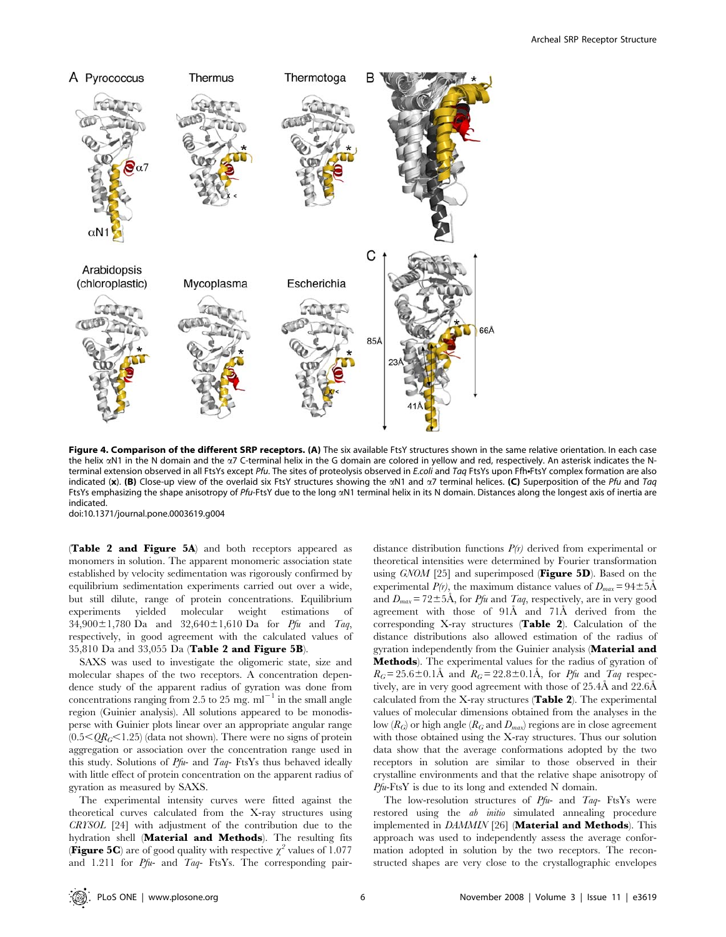

Figure 4. Comparison of the different SRP receptors. (A) The six available FtsY structures shown in the same relative orientation. In each case the helix  $\alpha$ N1 in the N domain and the  $\alpha$ 7 C-terminal helix in the G domain are colored in yellow and red, respectively. An asterisk indicates the Nterminal extension observed in all FtsYs except Pfu. The sites of proteolysis observed in E.coli and Taq FtsYs upon Ffh-FtsY complex formation are also indicated (x). (B) Close-up view of the overlaid six FtsY structures showing the  $\alpha$ N1 and  $\alpha$ 7 terminal helices. (C) Superposition of the Pfu and Taq FtsYs emphasizing the shape anisotropy of Pfu-FtsY due to the long  $\alpha$ N1 terminal helix in its N domain. Distances along the longest axis of inertia are indicated.

doi:10.1371/journal.pone.0003619.g004

(Table 2 and Figure 5A) and both receptors appeared as monomers in solution. The apparent monomeric association state established by velocity sedimentation was rigorously confirmed by equilibrium sedimentation experiments carried out over a wide, but still dilute, range of protein concentrations. Equilibrium experiments yielded molecular weight estimations of  $34,900 \pm 1,780$  Da and  $32,640 \pm 1,610$  Da for *Pfu* and *Taq*, respectively, in good agreement with the calculated values of 35,810 Da and 33,055 Da (Table 2 and Figure 5B).

SAXS was used to investigate the oligomeric state, size and molecular shapes of the two receptors. A concentration dependence study of the apparent radius of gyration was done from concentrations ranging from 2.5 to 25 mg.  $ml^{-1}$  in the small angle region (Guinier analysis). All solutions appeared to be monodisperse with Guinier plots linear over an appropriate angular range  $(0.5<\!\mathcal{Q}R_G<1.25)$  (data not shown). There were no signs of protein aggregation or association over the concentration range used in this study. Solutions of  $Pf\psi$ - and  $Taq$ - FtsYs thus behaved ideally with little effect of protein concentration on the apparent radius of gyration as measured by SAXS.

The experimental intensity curves were fitted against the theoretical curves calculated from the X-ray structures using CRYSOL [24] with adjustment of the contribution due to the hydration shell (Material and Methods). The resulting fits **(Figure 5C)** are of good quality with respective  $\chi^2$  values of 1.077 and 1.211 for  $Pfu$ - and  $Taq$ - FtsYs. The corresponding pairdistance distribution functions  $P(r)$  derived from experimental or theoretical intensities were determined by Fourier transformation using  $GNOM$  [25] and superimposed (**Figure 5D**). Based on the experimental  $P(r)$ , the maximum distance values of  $D_{max} = 94 \pm 5 \text{\AA}$ and  $D_{max} = 72 \pm 5\text{\AA}$ , for Pfu and Taq, respectively, are in very good agreement with those of 91Å and 71Å derived from the corresponding X-ray structures (Table 2). Calculation of the distance distributions also allowed estimation of the radius of gyration independently from the Guinier analysis (Material and Methods). The experimental values for the radius of gyration of  $R_G$ = 25.6±0.1Å and  $R_G$ = 22.8±0.1Å, for Pfu and Taq respectively, are in very good agreement with those of  $25.4\text{\AA}$  and  $22.6\text{\AA}$ calculated from the X-ray structures (Table 2). The experimental values of molecular dimensions obtained from the analyses in the low  $(R_G)$  or high angle  $(R_G \text{ and } D_{max})$  regions are in close agreement with those obtained using the X-ray structures. Thus our solution data show that the average conformations adopted by the two receptors in solution are similar to those observed in their crystalline environments and that the relative shape anisotropy of  $Pfu-FtsY$  is due to its long and extended N domain.

The low-resolution structures of Pfu- and Taq- FtsYs were restored using the ab initio simulated annealing procedure implemented in DAMMIN [26] (Material and Methods). This approach was used to independently assess the average conformation adopted in solution by the two receptors. The reconstructed shapes are very close to the crystallographic envelopes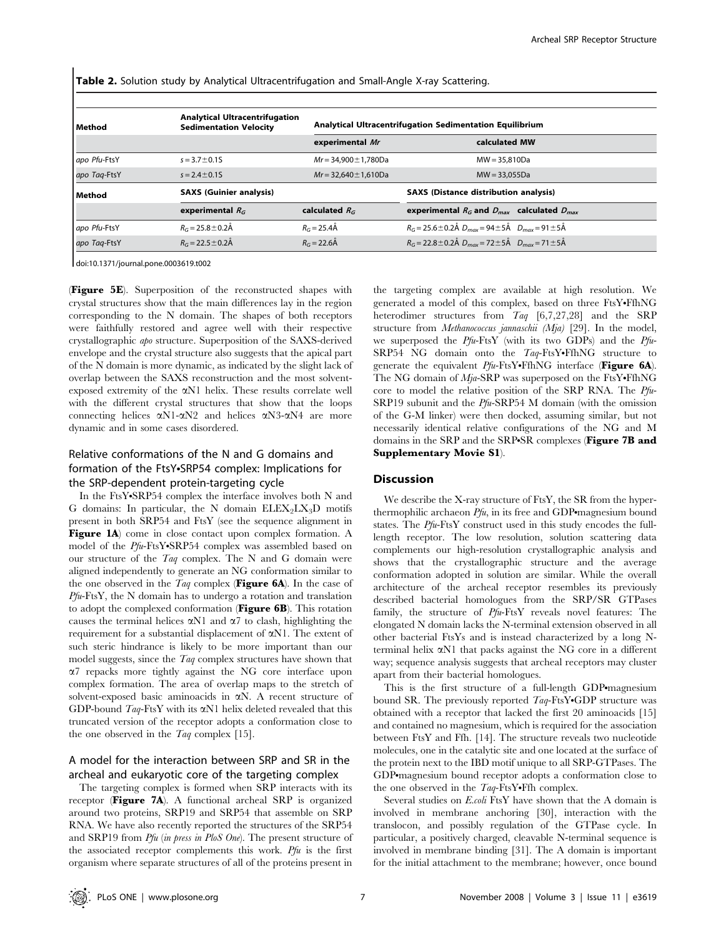Table 2. Solution study by Analytical Ultracentrifugation and Small-Angle X-ray Scattering.

| Method       | <b>Analytical Ultracentrifugation</b><br><b>Sedimentation Velocity</b> |                            | Analytical Ultracentrifugation Sedimentation Equilibrium             |  |
|--------------|------------------------------------------------------------------------|----------------------------|----------------------------------------------------------------------|--|
|              |                                                                        | experimental Mr            | calculated MW                                                        |  |
| apo Pfu-FtsY | $s = 3.7 \pm 0.15$                                                     | $Mr = 34.900 \pm 1.780$ Da | $MW = 35.810Da$                                                      |  |
| apo Tag-FtsY | $s = 2.4 \pm 0.15$                                                     | $Mr = 32.640 \pm 1.610Da$  | $MW = 33.055Da$                                                      |  |
| Method       | <b>SAXS (Guinier analysis)</b>                                         |                            | <b>SAXS (Distance distribution analysis)</b>                         |  |
|              | experimental $R_G$                                                     | calculated $R_G$           | experimental $R_G$ and $D_{max}$ calculated $D_{max}$                |  |
| apo Pfu-FtsY | $R_G = 25.8 \pm 0.2$ Å                                                 | $R_G = 25.4$ Å             | $R_G = 25.6 \pm 0.2$ Å $D_{max} = 94 \pm 5$ Å $D_{max} = 91 \pm 5$ Å |  |
| apo Tag-FtsY | $R_G = 22.5 \pm 0.2$ Å                                                 | $R_G = 22.6$ Å             | $R_G = 22.8 \pm 0.2$ Å $D_{max} = 72 \pm 5$ Å $D_{max} = 71 \pm 5$ Å |  |

doi:10.1371/journal.pone.0003619.t002

(Figure 5E). Superposition of the reconstructed shapes with crystal structures show that the main differences lay in the region corresponding to the N domain. The shapes of both receptors were faithfully restored and agree well with their respective crystallographic apo structure. Superposition of the SAXS-derived envelope and the crystal structure also suggests that the apical part of the N domain is more dynamic, as indicated by the slight lack of overlap between the SAXS reconstruction and the most solventexposed extremity of the aN1 helix. These results correlate well with the different crystal structures that show that the loops connecting helices  $\alpha$ N1- $\alpha$ N2 and helices  $\alpha$ N3- $\alpha$ N4 are more dynamic and in some cases disordered.

## Relative conformations of the N and G domains and formation of the FtsY.SRP54 complex: Implications for the SRP-dependent protein-targeting cycle

In the FtsY•SRP54 complex the interface involves both N and G domains: In particular, the N domain  $ELEX_2LX_3D$  motifs present in both SRP54 and FtsY (see the sequence alignment in Figure 1A) come in close contact upon complex formation. A model of the  $Pfu$ -FtsY•SRP54 complex was assembled based on our structure of the  $Taq$  complex. The N and G domain were aligned independently to generate an NG conformation similar to the one observed in the  $Taq$  complex (**Figure 6A**). In the case of Pfu-FtsY, the N domain has to undergo a rotation and translation to adopt the complexed conformation (Figure 6B). This rotation causes the terminal helices  $\alpha$ N1 and  $\alpha$ 7 to clash, highlighting the requirement for a substantial displacement of aN1. The extent of such steric hindrance is likely to be more important than our model suggests, since the Taq complex structures have shown that a7 repacks more tightly against the NG core interface upon complex formation. The area of overlap maps to the stretch of solvent-exposed basic aminoacids in  $\alpha$ N. A recent structure of GDP-bound  $Taq$ -FtsY with its  $\alpha$ N1 helix deleted revealed that this truncated version of the receptor adopts a conformation close to the one observed in the Taq complex [15].

## A model for the interaction between SRP and SR in the archeal and eukaryotic core of the targeting complex

The targeting complex is formed when SRP interacts with its receptor (Figure 7A). A functional archeal SRP is organized around two proteins, SRP19 and SRP54 that assemble on SRP RNA. We have also recently reported the structures of the SRP54 and SRP19 from Pfu (in press in PloS One). The present structure of the associated receptor complements this work.  $Pf u$  is the first organism where separate structures of all of the proteins present in the targeting complex are available at high resolution. We generated a model of this complex, based on three FtsY•FfhNG heterodimer structures from Taq [6,7,27,28] and the SRP structure from Methanococcus jannaschii (Mja) [29]. In the model, we superposed the Pfu-FtsY (with its two GDPs) and the Pfu-SRP54 NG domain onto the  $Taq$ -FtsY•FfhNG structure to generate the equivalent  $Pfu$ -FtsY•FfhNG interface (Figure 6A). The NG domain of  $Mja-SRP$  was superposed on the FtsY•FfhNG core to model the relative position of the SRP RNA. The Pfu-SRP19 subunit and the Pfu-SRP54 M domain (with the omission of the G-M linker) were then docked, assuming similar, but not necessarily identical relative configurations of the NG and M domains in the SRP and the SRP.SR complexes (Figure 7B and Supplementary Movie S1).

#### **Discussion**

We describe the X-ray structure of FtsY, the SR from the hyperthermophilic archaeon  $Pfu$ , in its free and GDP magnesium bound states. The Pfu-FtsY construct used in this study encodes the fulllength receptor. The low resolution, solution scattering data complements our high-resolution crystallographic analysis and shows that the crystallographic structure and the average conformation adopted in solution are similar. While the overall architecture of the archeal receptor resembles its previously described bacterial homologues from the SRP/SR GTPases family, the structure of Pfu-FtsY reveals novel features: The elongated N domain lacks the N-terminal extension observed in all other bacterial FtsYs and is instead characterized by a long Nterminal helix  $\alpha$ N1 that packs against the NG core in a different way; sequence analysis suggests that archeal receptors may cluster apart from their bacterial homologues.

This is the first structure of a full-length GDP magnesium bound SR. The previously reported  $Taq$ -FtsY.GDP structure was obtained with a receptor that lacked the first 20 aminoacids [15] and contained no magnesium, which is required for the association between FtsY and Ffh. [14]. The structure reveals two nucleotide molecules, one in the catalytic site and one located at the surface of the protein next to the IBD motif unique to all SRP-GTPases. The GDP•magnesium bound receptor adopts a conformation close to the one observed in the  $Taq$ -FtsY•Ffh complex.

Several studies on E.coli FtsY have shown that the A domain is involved in membrane anchoring [30], interaction with the translocon, and possibly regulation of the GTPase cycle. In particular, a positively charged, cleavable N-terminal sequence is involved in membrane binding [31]. The A domain is important for the initial attachment to the membrane; however, once bound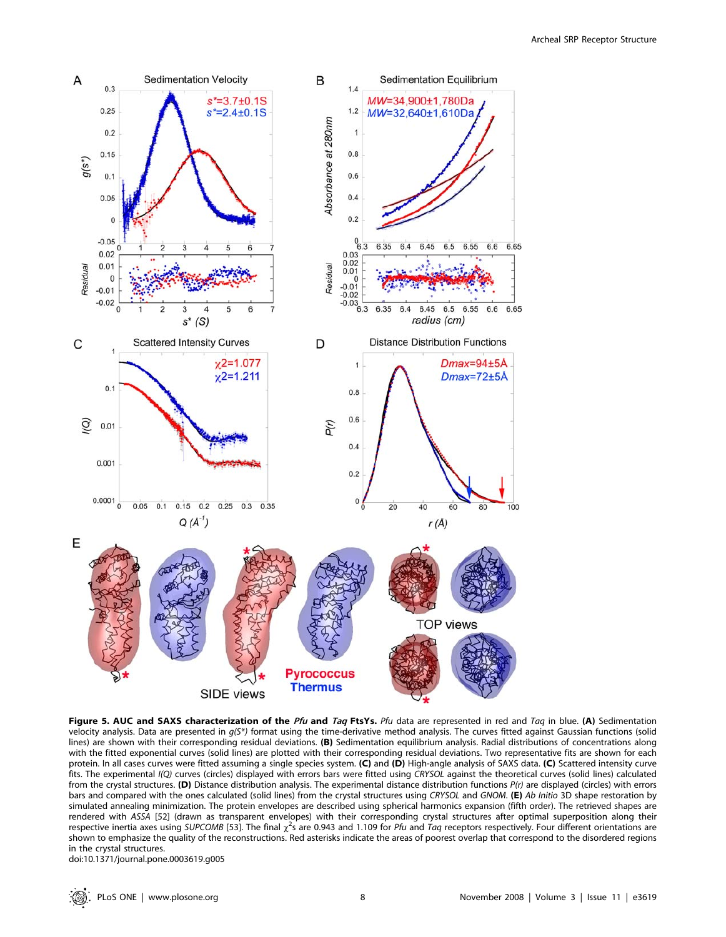

Figure 5. AUC and SAXS characterization of the Pfu and Taq FtsYs. Pfu data are represented in red and Taq in blue. (A) Sedimentation velocity analysis. Data are presented in  $q(S*)$  format using the time-derivative method analysis. The curves fitted against Gaussian functions (solid lines) are shown with their corresponding residual deviations. (B) Sedimentation equilibrium analysis. Radial distributions of concentrations along with the fitted exponential curves (solid lines) are plotted with their corresponding residual deviations. Two representative fits are shown for each protein. In all cases curves were fitted assuming a single species system. (C) and (D) High-angle analysis of SAXS data. (C) Scattered intensity curve fits. The experimental I(Q) curves (circles) displayed with errors bars were fitted using CRYSOL against the theoretical curves (solid lines) calculated from the crystal structures. (D) Distance distribution analysis. The experimental distance distribution functions  $P(r)$  are displayed (circles) with errors bars and compared with the ones calculated (solid lines) from the crystal structures using CRYSOL and GNOM. (E) Ab Initio 3D shape restoration by simulated annealing minimization. The protein envelopes are described using spherical harmonics expansion (fifth order). The retrieved shapes are rendered with ASSA [52] (drawn as transparent envelopes) with their corresponding crystal structures after optimal superposition along their respective inertia axes using SUPCOMB [53]. The final  $\chi^2$ s are 0.943 and 1.109 for Pfu and Taq receptors respectively. Four different orientations are shown to emphasize the quality of the reconstructions. Red asterisks indicate the areas of poorest overlap that correspond to the disordered regions in the crystal structures.

doi:10.1371/journal.pone.0003619.g005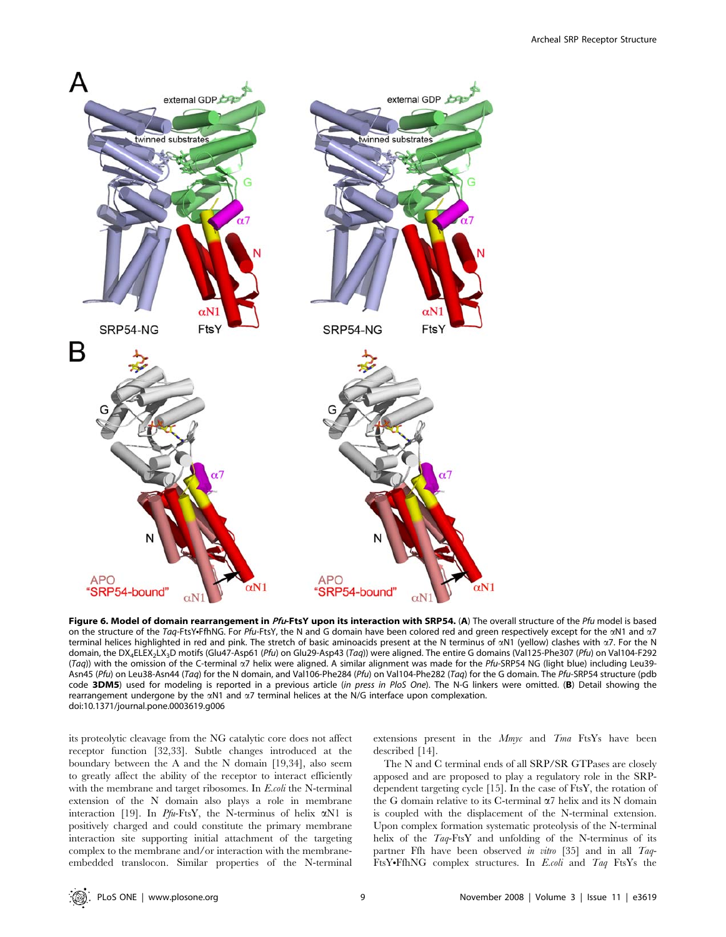

Figure 6. Model of domain rearrangement in Pfu-FtsY upon its interaction with SRP54. (A) The overall structure of the Pfu model is based on the structure of the Taq-FtsY+FfhNG. For Pfu-FtsY, the N and G domain have been colored red and green respectively except for the  $\alpha$ N1 and  $\alpha$ 7 terminal helices highlighted in red and pink. The stretch of basic aminoacids present at the N terminus of  $\alpha$ N1 (yellow) clashes with  $\alpha$ 7. For the N domain, the DX<sub>4</sub>ELEX<sub>2</sub>LX<sub>3</sub>D motifs (Glu47-Asp61 (Pfu) on Glu29-Asp43 (Taq)) were aligned. The entire G domains (Val125-Phe307 (Pfu) on Val104-F292 (Taq)) with the omission of the C-terminal  $\alpha$ 7 helix were aligned. A similar alignment was made for the Pfu-SRP54 NG (light blue) including Leu39-Asn45 (Pfu) on Leu38-Asn44 (Taq) for the N domain, and Val106-Phe284 (Pfu) on Val104-Phe282 (Taq) for the G domain. The Pfu-SRP54 structure (pdb code 3DM5) used for modeling is reported in a previous article (in press in PloS One). The N-G linkers were omitted. (B) Detail showing the rearrangement undergone by the aN1 and a7 terminal helices at the N/G interface upon complexation. doi:10.1371/journal.pone.0003619.g006

its proteolytic cleavage from the NG catalytic core does not affect receptor function [32,33]. Subtle changes introduced at the boundary between the A and the N domain [19,34], also seem to greatly affect the ability of the receptor to interact efficiently with the membrane and target ribosomes. In E.coli the N-terminal extension of the N domain also plays a role in membrane interaction [19]. In Pfu-FtsY, the N-terminus of helix  $\alpha$ N1 is positively charged and could constitute the primary membrane interaction site supporting initial attachment of the targeting complex to the membrane and/or interaction with the membraneembedded translocon. Similar properties of the N-terminal extensions present in the *Mmyc* and *Tma* FtsYs have been described [14].

The N and C terminal ends of all SRP/SR GTPases are closely apposed and are proposed to play a regulatory role in the SRPdependent targeting cycle [15]. In the case of FtsY, the rotation of the G domain relative to its C-terminal  $\alpha$ 7 helix and its N domain is coupled with the displacement of the N-terminal extension. Upon complex formation systematic proteolysis of the N-terminal helix of the Taq-FtsY and unfolding of the N-terminus of its partner Ffh have been observed in vitro [35] and in all Taq-FtsY.FfhNG complex structures. In E.coli and Taq FtsYs the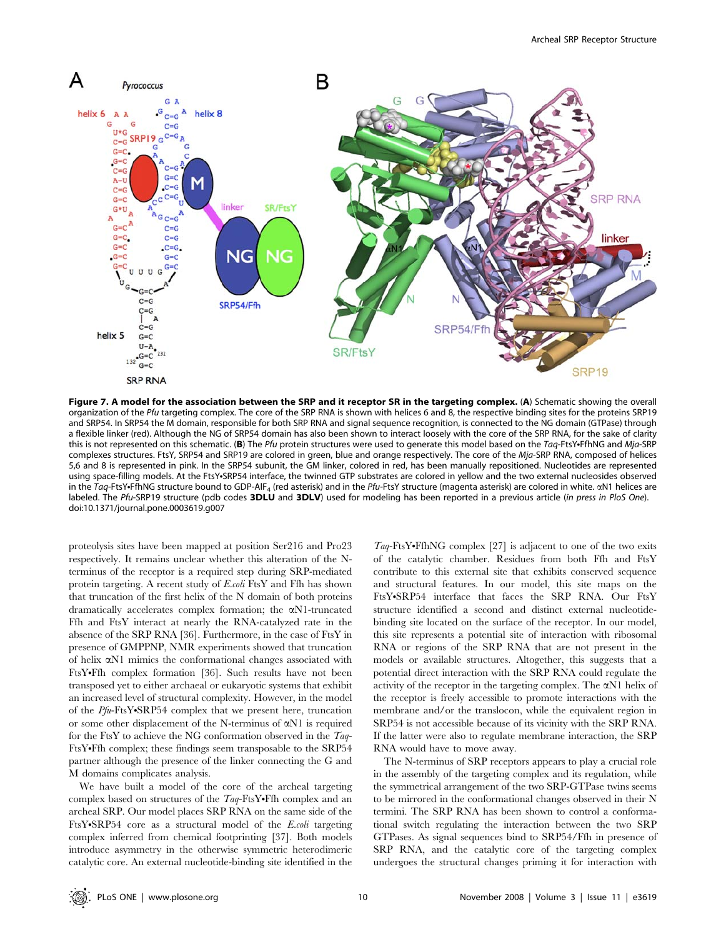

Figure 7. A model for the association between the SRP and it receptor SR in the targeting complex. (A) Schematic showing the overall organization of the Pfu targeting complex. The core of the SRP RNA is shown with helices 6 and 8, the respective binding sites for the proteins SRP19 and SRP54. In SRP54 the M domain, responsible for both SRP RNA and signal sequence recognition, is connected to the NG domain (GTPase) through a flexible linker (red). Although the NG of SRP54 domain has also been shown to interact loosely with the core of the SRP RNA, for the sake of clarity this is not represented on this schematic. (B) The Pfu protein structures were used to generate this model based on the Taq-FtsY+FfhNG and Mja-SRP complexes structures. FtsY, SRP54 and SRP19 are colored in green, blue and orange respectively. The core of the Mja-SRP RNA, composed of helices 5,6 and 8 is represented in pink. In the SRP54 subunit, the GM linker, colored in red, has been manually repositioned. Nucleotides are represented using space-filling models. At the FtsY.SRP54 interface, the twinned GTP substrates are colored in yellow and the two external nucleosides observed in the Taq-FtsY+FfhNG structure bound to GDP-AlF<sub>4</sub> (red asterisk) and in the Pfu-FtsY structure (magenta asterisk) are colored in white.  $\alpha$ N1 helices are labeled. The Pfu-SRP19 structure (pdb codes 3DLU and 3DLV) used for modeling has been reported in a previous article (in press in PloS One). doi:10.1371/journal.pone.0003619.g007

proteolysis sites have been mapped at position Ser216 and Pro23 respectively. It remains unclear whether this alteration of the Nterminus of the receptor is a required step during SRP-mediated protein targeting. A recent study of E.coli FtsY and Ffh has shown that truncation of the first helix of the N domain of both proteins dramatically accelerates complex formation; the aN1-truncated Ffh and FtsY interact at nearly the RNA-catalyzed rate in the absence of the SRP RNA [36]. Furthermore, in the case of FtsY in presence of GMPPNP, NMR experiments showed that truncation of helix aN1 mimics the conformational changes associated with FtsY•Ffh complex formation [36]. Such results have not been transposed yet to either archaeal or eukaryotic systems that exhibit an increased level of structural complexity. However, in the model of the  $Pfu-FtsY-SRP54$  complex that we present here, truncation or some other displacement of the N-terminus of  $\alpha$ N1 is required for the FtsY to achieve the NG conformation observed in the Taq-FtsY•Ffh complex; these findings seem transposable to the SRP54 partner although the presence of the linker connecting the G and M domains complicates analysis.

We have built a model of the core of the archeal targeting complex based on structures of the  $Taq$ -FtsY•Ffh complex and an archeal SRP. Our model places SRP RNA on the same side of the FtsY•SRP54 core as a structural model of the  $E$ .coli targeting complex inferred from chemical footprinting [37]. Both models introduce asymmetry in the otherwise symmetric heterodimeric catalytic core. An external nucleotide-binding site identified in the

 $Tag-FtsY\cdot FfhNG$  complex [27] is adjacent to one of the two exits of the catalytic chamber. Residues from both Ffh and FtsY contribute to this external site that exhibits conserved sequence and structural features. In our model, this site maps on the FtsY•SRP54 interface that faces the SRP RNA. Our FtsY structure identified a second and distinct external nucleotidebinding site located on the surface of the receptor. In our model, this site represents a potential site of interaction with ribosomal RNA or regions of the SRP RNA that are not present in the models or available structures. Altogether, this suggests that a potential direct interaction with the SRP RNA could regulate the activity of the receptor in the targeting complex. The  $\alpha$ N1 helix of the receptor is freely accessible to promote interactions with the membrane and/or the translocon, while the equivalent region in SRP54 is not accessible because of its vicinity with the SRP RNA. If the latter were also to regulate membrane interaction, the SRP RNA would have to move away.

The N-terminus of SRP receptors appears to play a crucial role in the assembly of the targeting complex and its regulation, while the symmetrical arrangement of the two SRP-GTPase twins seems to be mirrored in the conformational changes observed in their N termini. The SRP RNA has been shown to control a conformational switch regulating the interaction between the two SRP GTPases. As signal sequences bind to SRP54/Ffh in presence of SRP RNA, and the catalytic core of the targeting complex undergoes the structural changes priming it for interaction with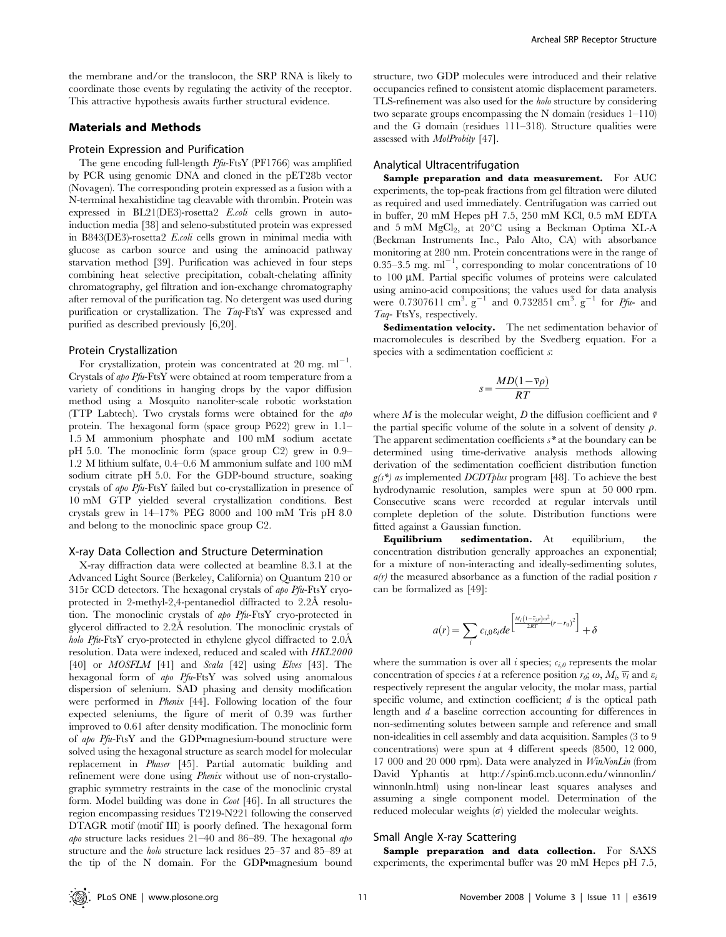the membrane and/or the translocon, the SRP RNA is likely to coordinate those events by regulating the activity of the receptor. This attractive hypothesis awaits further structural evidence.

#### Materials and Methods

#### Protein Expression and Purification

The gene encoding full-length Pfu-FtsY (PF1766) was amplified by PCR using genomic DNA and cloned in the pET28b vector (Novagen). The corresponding protein expressed as a fusion with a N-terminal hexahistidine tag cleavable with thrombin. Protein was expressed in BL21(DE3)-rosetta2 E.coli cells grown in autoinduction media [38] and seleno-substituted protein was expressed in B843(DE3)-rosetta2 E.coli cells grown in minimal media with glucose as carbon source and using the aminoacid pathway starvation method [39]. Purification was achieved in four steps combining heat selective precipitation, cobalt-chelating affinity chromatography, gel filtration and ion-exchange chromatography after removal of the purification tag. No detergent was used during purification or crystallization. The Taq-FtsY was expressed and purified as described previously [6,20].

#### Protein Crystallization

For crystallization, protein was concentrated at 20 mg.  $ml^{-1}$ . Crystals of apo Pfu-FtsY were obtained at room temperature from a variety of conditions in hanging drops by the vapor diffusion method using a Mosquito nanoliter-scale robotic workstation (TTP Labtech). Two crystals forms were obtained for the apo protein. The hexagonal form (space group P622) grew in 1.1– 1.5 M ammonium phosphate and 100 mM sodium acetate pH 5.0. The monoclinic form (space group C2) grew in 0.9– 1.2 M lithium sulfate, 0.4–0.6 M ammonium sulfate and 100 mM sodium citrate pH 5.0. For the GDP-bound structure, soaking crystals of apo Pfu-FtsY failed but co-crystallization in presence of 10 mM GTP yielded several crystallization conditions. Best crystals grew in 14–17% PEG 8000 and 100 mM Tris pH 8.0 and belong to the monoclinic space group C2.

#### X-ray Data Collection and Structure Determination

X-ray diffraction data were collected at beamline 8.3.1 at the Advanced Light Source (Berkeley, California) on Quantum 210 or 315r CCD detectors. The hexagonal crystals of apo Pfu-FtsY cryoprotected in 2-methyl-2,4-pentanediol diffracted to  $2.2\text{\AA}$  resolution. The monoclinic crystals of apo Pfu-FtsY cryo-protected in glycerol diffracted to 2.2A˚ resolution. The monoclinic crystals of *holo Pfu*-FtsY cryo-protected in ethylene glycol diffracted to  $2.0\text{\AA}$ resolution. Data were indexed, reduced and scaled with HKL2000  $[40]$  or *MOSFLM*  $[41]$  and *Scala*  $[42]$  using *Elves*  $[43]$ . The hexagonal form of apo Pfu-FtsY was solved using anomalous dispersion of selenium. SAD phasing and density modification were performed in Phenix [44]. Following location of the four expected seleniums, the figure of merit of 0.39 was further improved to 0.61 after density modification. The monoclinic form of *apo Pfu*-FtsY and the GDP•magnesium-bound structure were solved using the hexagonal structure as search model for molecular replacement in Phaser [45]. Partial automatic building and refinement were done using *Phenix* without use of non-crystallographic symmetry restraints in the case of the monoclinic crystal form. Model building was done in Coot [46]. In all structures the region encompassing residues T219-N221 following the conserved DTAGR motif (motif III) is poorly defined. The hexagonal form apo structure lacks residues 21–40 and 86–89. The hexagonal apo structure and the holo structure lack residues 25–37 and 85–89 at the tip of the N domain. For the GDP magnesium bound

structure, two GDP molecules were introduced and their relative occupancies refined to consistent atomic displacement parameters. TLS-refinement was also used for the holo structure by considering two separate groups encompassing the N domain (residues 1–110) and the G domain (residues 111–318). Structure qualities were assessed with MolProbity [47].

#### Analytical Ultracentrifugation

Sample preparation and data measurement. For AUC experiments, the top-peak fractions from gel filtration were diluted as required and used immediately. Centrifugation was carried out in buffer, 20 mM Hepes pH 7.5, 250 mM KCl, 0.5 mM EDTA and  $5 \text{ mM } MgCl<sub>2</sub>$ , at  $20^{\circ}$ C using a Beckman Optima XL-A (Beckman Instruments Inc., Palo Alto, CA) with absorbance monitoring at 280 nm. Protein concentrations were in the range of 0.35–3.5 mg.  $ml^{-1}$ , corresponding to molar concentrations of 10 to 100 *m*M. Partial specific volumes of proteins were calculated using amino-acid compositions; the values used for data analysis were 0.7307611 cm<sup>3</sup>.  $g^{-1}$  and 0.732851 cm<sup>3</sup>.  $g^{-1}$  for Pfu- and Taq- FtsYs, respectively.

Sedimentation velocity. The net sedimentation behavior of macromolecules is described by the Svedberg equation. For a species with a sedimentation coefficient s:

$$
s = \frac{MD(1 - \overline{v}\rho)}{RT}
$$

where M is the molecular weight, D the diffusion coefficient and  $\bar{v}$ the partial specific volume of the solute in a solvent of density  $\rho$ . The apparent sedimentation coefficients  $s^*$  at the boundary can be determined using time-derivative analysis methods allowing derivation of the sedimentation coefficient distribution function  $g(s^*)$  as implemented DCDT plus program [48]. To achieve the best hydrodynamic resolution, samples were spun at 50 000 rpm. Consecutive scans were recorded at regular intervals until complete depletion of the solute. Distribution functions were fitted against a Gaussian function.

Equilibrium sedimentation. At equilibrium, the concentration distribution generally approaches an exponential; for a mixture of non-interacting and ideally-sedimenting solutes,  $a(r)$  the measured absorbance as a function of the radial position r can be formalized as [49]:

$$
a(r) = \sum_{i} c_{i,0} \varepsilon_i de \left[ \frac{M_i (1 - \bar{\tau}_{i,0}) \omega^2}{2RT} (r - r_0)^2 \right] + \delta
$$

where the summation is over all i species;  $c_i$  epresents the molar concentration of species *i* at a reference position  $r_0$ ;  $\omega$ ,  $M_i$ ,  $\overline{v_i}$  and  $\varepsilon_i$ respectively represent the angular velocity, the molar mass, partial specific volume, and extinction coefficient; d is the optical path length and d a baseline correction accounting for differences in non-sedimenting solutes between sample and reference and small non-idealities in cell assembly and data acquisition. Samples (3 to 9 concentrations) were spun at 4 different speeds (8500, 12 000, 17 000 and 20 000 rpm). Data were analyzed in WinNonLin (from David Yphantis at http://spin6.mcb.uconn.edu/winnonlin/ winnonln.html) using non-linear least squares analyses and assuming a single component model. Determination of the reduced molecular weights  $(\sigma)$  yielded the molecular weights.

#### Small Angle X-ray Scattering

Sample preparation and data collection. For SAXS experiments, the experimental buffer was 20 mM Hepes pH 7.5,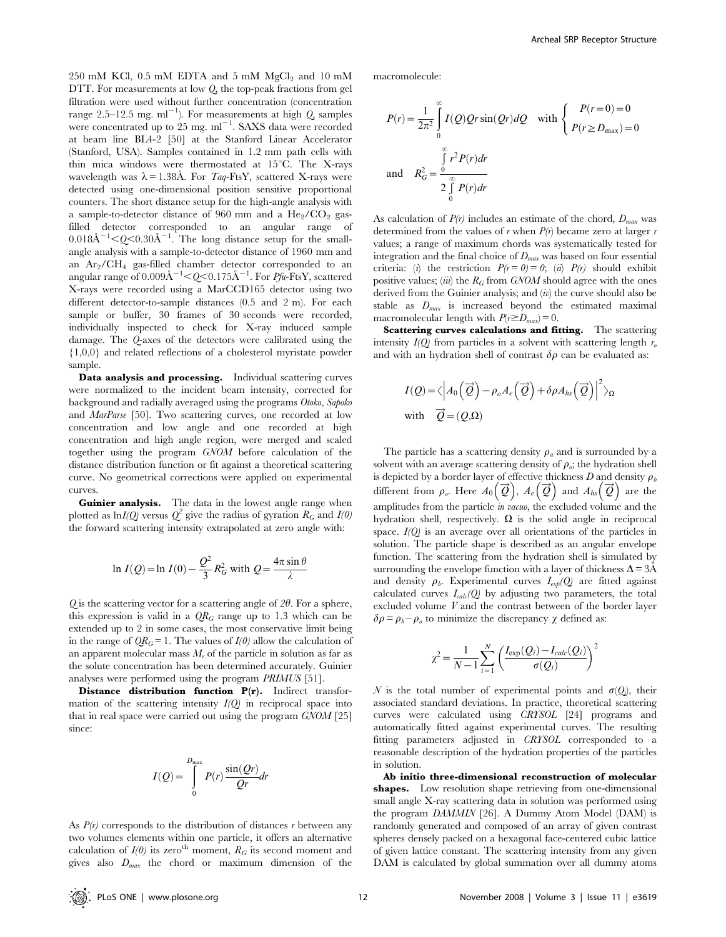$250$  mM KCl,  $0.5$  mM EDTA and  $5$  mM MgCl<sub>2</sub> and  $10$  mM DTT. For measurements at low Q, the top-peak fractions from gel filtration were used without further concentration (concentration range 2.5–12.5 mg.  $ml^{-1}$ ). For measurements at high  $Q$ , samples were concentrated up to 25 mg. ml<sup>-1</sup>. SAXS data were recorded at beam line BL4-2 [50] at the Stanford Linear Accelerator (Stanford, USA). Samples contained in 1.2 mm path cells with thin mica windows were thermostated at  $15^{\circ}$ C. The X-rays wavelength was  $\lambda = 1.38$ Å. For Taq-FtsY, scattered X-rays were detected using one-dimensional position sensitive proportional counters. The short distance setup for the high-angle analysis with a sample-to-detector distance of 960 mm and a  $\text{He}_2/\text{CO}_2$  gasfilled detector corresponded to an angular range of  $0.018\text{\AA}^{-1} < Q < 0.30\text{\AA}^{-1}$ . The long distance setup for the smallangle analysis with a sample-to-detector distance of 1960 mm and an Ar2/CH4 gas-filled chamber detector corresponded to an angular range of  $0.009\rm{\AA^{-1}}{<}Q{<}0.175\rm{\AA^{-1}}.$  For  $Pfu\text{-FtsY, scattered}$ X-rays were recorded using a MarCCD165 detector using two different detector-to-sample distances (0.5 and 2 m). For each sample or buffer, 30 frames of 30 seconds were recorded, individually inspected to check for X-ray induced sample damage. The Q-axes of the detectors were calibrated using the {1,0,0} and related reflections of a cholesterol myristate powder sample.

Data analysis and processing. Individual scattering curves were normalized to the incident beam intensity, corrected for background and radially averaged using the programs Otoko, Sapoko and MarParse [50]. Two scattering curves, one recorded at low concentration and low angle and one recorded at high concentration and high angle region, were merged and scaled together using the program GNOM before calculation of the distance distribution function or fit against a theoretical scattering curve. No geometrical corrections were applied on experimental curves.

Guinier analysis. The data in the lowest angle range when plotted as  $\ln I(Q)$  versus  $Q^2$  give the radius of gyration  $R_G$  and  $I(0)$ the forward scattering intensity extrapolated at zero angle with:

$$
\ln I(Q) = \ln I(0) - \frac{Q^2}{3} R_G^2
$$
 with  $Q = \frac{4\pi \sin \theta}{\lambda}$ 

 $Q$  is the scattering vector for a scattering angle of  $2\theta$ . For a sphere, this expression is valid in a  $QR<sub>G</sub>$  range up to 1.3 which can be extended up to 2 in some cases, the most conservative limit being in the range of  $QR_G = 1$ . The values of  $I(0)$  allow the calculation of an apparent molecular mass  $M_r$  of the particle in solution as far as the solute concentration has been determined accurately. Guinier analyses were performed using the program PRIMUS [51].

Distance distribution function P(r). Indirect transformation of the scattering intensity  $I(Q)$  in reciprocal space into that in real space were carried out using the program GNOM [25] since:

$$
I(Q) = \int_{0}^{D_{\text{max}}} P(r) \frac{\sin(Qr)}{Qr} dr
$$

As  $P(r)$  corresponds to the distribution of distances r between any two volumes elements within one particle, it offers an alternative calculation of  $I(0)$  its zero<sup>th</sup> moment,  $R_G$  its second moment and gives also  $D_{max}$  the chord or maximum dimension of the

macromolecule:

$$
P(r) = \frac{1}{2\pi^2} \int_{0}^{\infty} I(Q)Qr \sin(Qr)dQ \quad \text{with } \begin{cases} P(r=0) = 0\\ P(r \ge D_{\text{max}}) = 0 \end{cases}
$$
  
and 
$$
R_G^2 = \frac{\int_{0}^{\infty} r^2 P(r)dr}{2 \int_{0}^{\infty} P(r)dr}
$$

As calculation of  $P(r)$  includes an estimate of the chord,  $D_{max}$  was determined from the values of r when  $P(r)$  became zero at larger r values; a range of maximum chords was systematically tested for integration and the final choice of  $D_{max}$  was based on four essential criteria: (i) the restriction  $P(r = 0) = 0$ ; (ii)  $P(r)$  should exhibit positive values; (iii) the  $R_G$  from GNOM should agree with the ones derived from the Guinier analysis; and  $(iv)$  the curve should also be stable as  $D_{\text{max}}$  is increased beyond the estimated maximal macromolecular length with  $P(r \ge D_{max}) = 0$ .

Scattering curves calculations and fitting. The scattering intensity  $I(Q)$  from particles in a solvent with scattering length  $r<sub>o</sub>$ and with an hydration shell of contrast  $\delta \rho$  can be evaluated as:

$$
I(Q) = \langle \left| A_0\left(\overrightarrow{Q}\right) - \rho_o A_e\left(\overrightarrow{Q}\right) + \delta \rho A_{hs}\left(\overrightarrow{Q}\right) \right|^2 \rangle_{\Omega}
$$
  
with  $\overrightarrow{Q} = (Q,\Omega)$ 

The particle has a scattering density  $\rho_a$  and is surrounded by a solvent with an average scattering density of  $\rho_o$ ; the hydration shell is depicted by a border layer of effective thickness D and density  $\rho_t$ different from  $\rho_e$ . Here  $A_0(\vec{Q})$ ,  $A_e(\vec{Q})$  and  $A_{hs}(\vec{Q})$  are the amplitudes from the particle in vacuo, the excluded volume and the hydration shell, respectively.  $\Omega$  is the solid angle in reciprocal space.  $I(0)$  is an average over all orientations of the particles in solution. The particle shape is described as an angular envelope function. The scattering from the hydration shell is simulated by surrounding the envelope function with a layer of thickness  $\Delta = 3\text{\AA}$ and density  $\rho_b$ . Experimental curves  $I_{\exp}(Q)$  are fitted against calculated curves  $I_{calc}(Q)$  by adjusting two parameters, the total excluded volume V and the contrast between of the border layer  $\delta \rho = \rho_b - \rho_a$  to minimize the discrepancy  $\chi$  defined as:

$$
\chi^2 = \frac{1}{N-1} \sum_{i=1}^{N} \left( \frac{I_{\exp}(Q_i) - I_{calc}(Q_i)}{\sigma(Q_i)} \right)^2
$$

N is the total number of experimental points and  $\sigma(Q_i)$ , their associated standard deviations. In practice, theoretical scattering curves were calculated using CRYSOL [24] programs and automatically fitted against experimental curves. The resulting fitting parameters adjusted in CRYSOL corresponded to a reasonable description of the hydration properties of the particles in solution.

Ab initio three-dimensional reconstruction of molecular shapes. Low resolution shape retrieving from one-dimensional small angle X-ray scattering data in solution was performed using the program DAMMIN [26]. A Dummy Atom Model (DAM) is randomly generated and composed of an array of given contrast spheres densely packed on a hexagonal face-centered cubic lattice of given lattice constant. The scattering intensity from any given DAM is calculated by global summation over all dummy atoms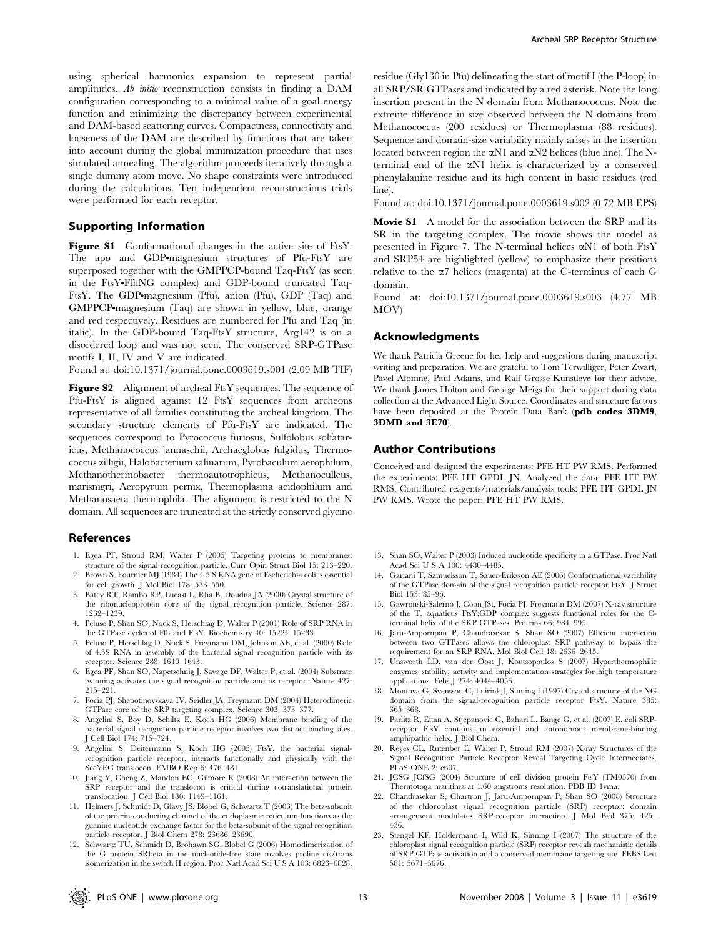using spherical harmonics expansion to represent partial amplitudes. Ab initio reconstruction consists in finding a DAM configuration corresponding to a minimal value of a goal energy function and minimizing the discrepancy between experimental and DAM-based scattering curves. Compactness, connectivity and looseness of the DAM are described by functions that are taken into account during the global minimization procedure that uses simulated annealing. The algorithm proceeds iteratively through a single dummy atom move. No shape constraints were introduced during the calculations. Ten independent reconstructions trials were performed for each receptor.

#### Supporting Information

Figure S1 Conformational changes in the active site of FtsY. The apo and GDP.magnesium structures of Pfu-FtsY are superposed together with the GMPPCP-bound Taq-FtsY (as seen in the FtsY.FfhNG complex) and GDP-bound truncated Taq-FtsY. The GDP•magnesium (Pfu), anion (Pfu), GDP (Taq) and  $GMPPCP$ •magnesium  $(Taq)$  are shown in yellow, blue, orange and red respectively. Residues are numbered for Pfu and Taq (in italic). In the GDP-bound Taq-FtsY structure, Arg142 is on a disordered loop and was not seen. The conserved SRP-GTPase motifs I, II, IV and V are indicated.

Found at: doi:10.1371/journal.pone.0003619.s001 (2.09 MB TIF)

Figure S2 Alignment of archeal FtsY sequences. The sequence of Pfu-FtsY is aligned against 12 FtsY sequences from archeons representative of all families constituting the archeal kingdom. The secondary structure elements of Pfu-FtsY are indicated. The sequences correspond to Pyrococcus furiosus, Sulfolobus solfataricus, Methanococcus jannaschii, Archaeglobus fulgidus, Thermococcus zilligii, Halobacterium salinarum, Pyrobaculum aerophilum, Methanothermobacter thermoautotrophicus, Methanoculleus, marisnigri, Aeropyrum pernix, Thermoplasma acidophilum and Methanosaeta thermophila. The alignment is restricted to the N domain. All sequences are truncated at the strictly conserved glycine

#### References

- 1. Egea PF, Stroud RM, Walter P (2005) Targeting proteins to membranes: structure of the signal recognition particle. Curr Opin Struct Biol 15: 213–220.
- 2. Brown S, Fournier MJ (1984) The 4.5 S RNA gene of Escherichia coli is essential for cell growth. J Mol Biol 178: 533–550.
- 3. Batey RT, Rambo RP, Lucast L, Rha B, Doudna JA (2000) Crystal structure of the ribonucleoprotein core of the signal recognition particle. Science 287: 1232–1239.
- 4. Peluso P, Shan SO, Nock S, Herschlag D, Walter P (2001) Role of SRP RNA in the GTPase cycles of Ffh and FtsY. Biochemistry 40: 15224–15233.
- 5. Peluso P, Herschlag D, Nock S, Freymann DM, Johnson AE, et al. (2000) Role of 4.5S RNA in assembly of the bacterial signal recognition particle with its receptor. Science 288: 1640–1643.
- 6. Egea PF, Shan SO, Napetschnig J, Savage DF, Walter P, et al. (2004) Substrate twinning activates the signal recognition particle and its receptor. Nature 427: 215–221.
- 7. Focia PJ, Shepotinovskaya IV, Seidler JA, Freymann DM (2004) Heterodimeric GTPase core of the SRP targeting complex. Science 303: 373–377.
- 8. Angelini S, Boy D, Schiltz E, Koch HG (2006) Membrane binding of the bacterial signal recognition particle receptor involves two distinct binding sites. J Cell Biol 174: 715–724.
- 9. Angelini S, Deitermann S, Koch HG (2005) FtsY, the bacterial signalrecognition particle receptor, interacts functionally and physically with the SecYEG translocon. EMBO Rep 6: 476–481.
- 10. Jiang Y, Cheng Z, Mandon EC, Gilmore R (2008) An interaction between the SRP receptor and the translocon is critical during cotranslational protein translocation. J Cell Biol 180: 1149–1161.
- 11. Helmers J, Schmidt D, Glavy JS, Blobel G, Schwartz T (2003) The beta-subunit of the protein-conducting channel of the endoplasmic reticulum functions as the guanine nucleotide exchange factor for the beta-subunit of the signal recognition particle receptor. J Biol Chem 278: 23686–23690.
- 12. Schwartz TU, Schmidt D, Brohawn SG, Blobel G (2006) Homodimerization of the G protein SRbeta in the nucleotide-free state involves proline cis/trans isomerization in the switch II region. Proc Natl Acad Sci U S A 103: 6823–6828.

residue (Gly130 in Pfu) delineating the start of motif I (the P-loop) in all SRP/SR GTPases and indicated by a red asterisk. Note the long insertion present in the N domain from Methanococcus. Note the extreme difference in size observed between the N domains from Methanococcus (200 residues) or Thermoplasma (88 residues). Sequence and domain-size variability mainly arises in the insertion located between region the  $\alpha$ N1 and  $\alpha$ N2 helices (blue line). The Nterminal end of the aN1 helix is characterized by a conserved phenylalanine residue and its high content in basic residues (red line).

Found at: doi:10.1371/journal.pone.0003619.s002 (0.72 MB EPS)

Movie S1 A model for the association between the SRP and its SR in the targeting complex. The movie shows the model as presented in Figure 7. The N-terminal helices aN1 of both FtsY and SRP54 are highlighted (yellow) to emphasize their positions relative to the  $\alpha$ 7 helices (magenta) at the C-terminus of each G domain.

Found at: doi:10.1371/journal.pone.0003619.s003 (4.77 MB MOV)

#### Acknowledgments

We thank Patricia Greene for her help and suggestions during manuscript writing and preparation. We are grateful to Tom Terwilliger, Peter Zwart, Pavel Afonine, Paul Adams, and Ralf Grosse-Kunstleve for their advice. We thank James Holton and George Meigs for their support during data collection at the Advanced Light Source. Coordinates and structure factors have been deposited at the Protein Data Bank (pdb codes 3DM9, 3DMD and 3E70).

#### Author Contributions

Conceived and designed the experiments: PFE HT PW RMS. Performed the experiments: PFE HT GPDL JN. Analyzed the data: PFE HT PW RMS. Contributed reagents/materials/analysis tools: PFE HT GPDL JN PW RMS. Wrote the paper: PFE HT PW RMS.

- 13. Shan SO, Walter P (2003) Induced nucleotide specificity in a GTPase. Proc Natl Acad Sci U S A 100: 4480–4485.
- 14. Gariani T, Samuelsson T, Sauer-Eriksson AE (2006) Conformational variability of the GTPase domain of the signal recognition particle receptor FtsY. J Struct Biol 153: 85–96.
- 15. Gawronski-Salerno J, Coon JSt, Focia PJ, Freymann DM (2007) X-ray structure of the T. aquaticus FtsY:GDP complex suggests functional roles for the Cterminal helix of the SRP GTPases. Proteins 66: 984–995.
- 16. Jaru-Ampornpan P, Chandrasekar S, Shan SO (2007) Efficient interaction between two GTPases allows the chloroplast SRP pathway to bypass the requirement for an SRP RNA. Mol Biol Cell 18: 2636–2645.
- 17. Unsworth LD, van der Oost J, Koutsopoulos S (2007) Hyperthermophilic enzymes–stability, activity and implementation strategies for high temperature applications. Febs J 274: 4044–4056.
- 18. Montoya G, Svensson C, Luirink J, Sinning I (1997) Crystal structure of the NG domain from the signal-recognition particle receptor FtsY. Nature 385: 365–368.
- 19. Parlitz R, Eitan A, Stjepanovic G, Bahari L, Bange G, et al. (2007) E. coli SRPreceptor FtsY contains an essential and autonomous membrane-binding amphipathic helix. J Biol Chem.
- 20. Reyes CL, Rutenber E, Walter P, Stroud RM (2007) X-ray Structures of the Signal Recognition Particle Receptor Reveal Targeting Cycle Intermediates. PLoS ONE 2: e607.
- 21. JCSG JCfSG (2004) Structure of cell division protein FtsY (TM0570) from Thermotoga maritima at 1.60 angstroms resolution. PDB ID 1vma.
- 22. Chandrasekar S, Chartron J, Jaru-Ampornpan P, Shan SO (2008) Structure of the chloroplast signal recognition particle (SRP) receptor: domain arrangement modulates SRP-receptor interaction. J Mol Biol 375: 425– 436.
- 23. Stengel KF, Holdermann I, Wild K, Sinning I (2007) The structure of the chloroplast signal recognition particle (SRP) receptor reveals mechanistic details of SRP GTPase activation and a conserved membrane targeting site. FEBS Lett 581: 5671–5676.